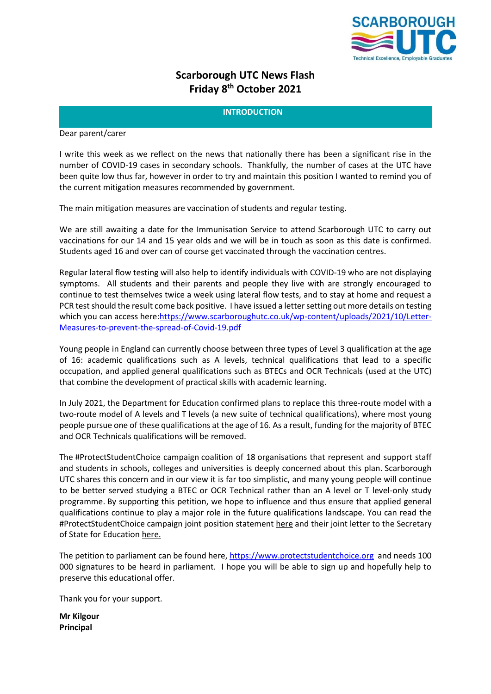

# **Scarborough UTC News Flash Friday 8 th October 2021**

# **INTRODUCTION**

Dear parent/carer

I write this week as we reflect on the news that nationally there has been a significant rise in the number of COVID-19 cases in secondary schools. Thankfully, the number of cases at the UTC have been quite low thus far, however in order to try and maintain this position I wanted to remind you of the current mitigation measures recommended by government.

The main mitigation measures are vaccination of students and regular testing.

We are still awaiting a date for the Immunisation Service to attend Scarborough UTC to carry out vaccinations for our 14 and 15 year olds and we will be in touch as soon as this date is confirmed. Students aged 16 and over can of course get vaccinated through the vaccination centres.

Regular lateral flow testing will also help to identify individuals with COVID-19 who are not displaying symptoms. All students and their parents and people they live with are strongly encouraged to continue to test themselves twice a week using lateral flow tests, and to stay at home and request a PCR test should the result come back positive. I have issued a letter setting out more details on testing which you can access here[:https://www.scarboroughutc.co.uk/wp-content/uploads/2021/10/Letter-](https://www.scarboroughutc.co.uk/wp-content/uploads/2021/10/Letter-Measures-to-prevent-the-spread-of-Covid-19.pdf)[Measures-to-prevent-the-spread-of-Covid-19.pdf](https://www.scarboroughutc.co.uk/wp-content/uploads/2021/10/Letter-Measures-to-prevent-the-spread-of-Covid-19.pdf)

Young people in England can currently choose between three types of Level 3 qualification at the age of 16: academic qualifications such as A levels, technical qualifications that lead to a specific occupation, and applied general qualifications such as BTECs and OCR Technicals (used at the UTC) that combine the development of practical skills with academic learning.

In July 2021, the Department for Education [confirmed](https://www.gov.uk/government/consultations/review-of-post-16-qualifications-at-level-3-second-stage) plans to replace this three-route model with a two-route model of A levels and T levels (a new suite of technical qualifications), where most young people pursue one of these qualifications at the age of 16. As a result, funding for the majority of BTEC and OCR Technicals qualifications will be removed.

The #ProtectStudentChoice campaign coalition of 18 organisations that represent and support staff and students in schools, colleges and universities is deeply concerned about this plan. Scarborough UTC shares this concern and in our view it is far too simplistic, and many young people will continue to be better served studying a BTEC or OCR Technical rather than an A level or T level-only study programme. By supporting this petition, we hope to influence and thus ensure that applied general qualifications continue to play a major role in the future qualifications landscape. You can read the #ProtectStudentChoice campaign joint position statement [here](https://sfcacampaign.s3.amazonaws.com/uploads/document/0621-FINAL-Joint-Position-Statement-on-AGQs-Final1.pdf?t=1631540551?ts=1633607865) and their joint letter to the Secretary of State for Education [here.](https://sfcacampaign.s3.amazonaws.com/uploads/document/Protect-Student-Choice-Letter-to-Gavin-Williamson-July-2021.pdf?t=1631266356?ts=1633607865)

The petition to parliament can be found here[, https://www.protectstudentchoice.org](https://www.protectstudentchoice.org/) and needs 100 000 signatures to be heard in parliament. I hope you will be able to sign up and hopefully help to preserve this educational offer.

Thank you for your support.

**Mr Kilgour Principal**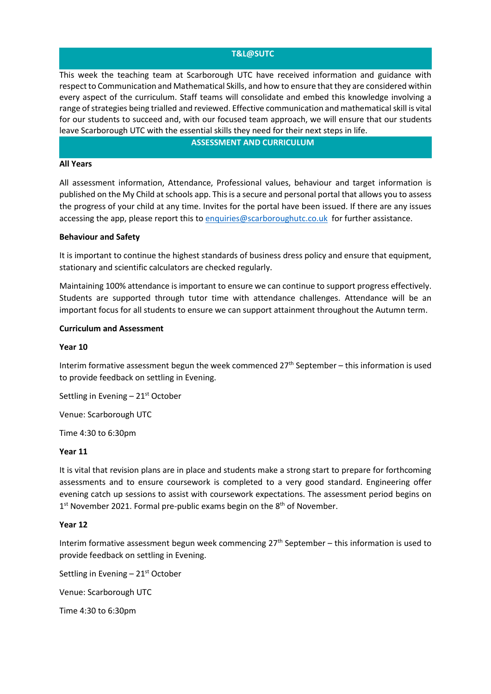## **T&L@SUTC**

This week the teaching team at Scarborough UTC have received information and guidance with respect to Communication and Mathematical Skills, and how to ensure that they are considered within every aspect of the curriculum. Staff teams will consolidate and embed this knowledge involving a range of strategies being trialled and reviewed. Effective communication and mathematical skill is vital for our students to succeed and, with our focused team approach, we will ensure that our students leave Scarborough UTC with the essential skills they need for their next steps in life.

#### **ASSESSMENT AND CURRICULUM**

### **All Years**

All assessment information, Attendance, Professional values, behaviour and target information is published on the My Child at schools app. This is a secure and personal portal that allows you to assess the progress of your child at any time. Invites for the portal have been issued. If there are any issues accessing the app, please report this to [enquiries@scarboroughutc.co.uk](mailto:enquiries@scarboroughutc.co.uk) for further assistance.

### **Behaviour and Safety**

It is important to continue the highest standards of business dress policy and ensure that equipment, stationary and scientific calculators are checked regularly.

Maintaining 100% attendance is important to ensure we can continue to support progress effectively. Students are supported through tutor time with attendance challenges. Attendance will be an important focus for all students to ensure we can support attainment throughout the Autumn term.

### **Curriculum and Assessment**

## **Year 10**

Interim formative assessment begun the week commenced 27<sup>th</sup> September - this information is used to provide feedback on settling in Evening.

Settling in Evening  $-21<sup>st</sup>$  October

Venue: Scarborough UTC

Time 4:30 to 6:30pm

#### **Year 11**

It is vital that revision plans are in place and students make a strong start to prepare for forthcoming assessments and to ensure coursework is completed to a very good standard. Engineering offer evening catch up sessions to assist with coursework expectations. The assessment period begins on 1<sup>st</sup> November 2021. Formal pre-public exams begin on the 8<sup>th</sup> of November.

#### **Year 12**

Interim formative assessment begun week commencing 27<sup>th</sup> September - this information is used to provide feedback on settling in Evening.

Settling in Evening  $-21<sup>st</sup>$  October

Venue: Scarborough UTC

Time 4:30 to 6:30pm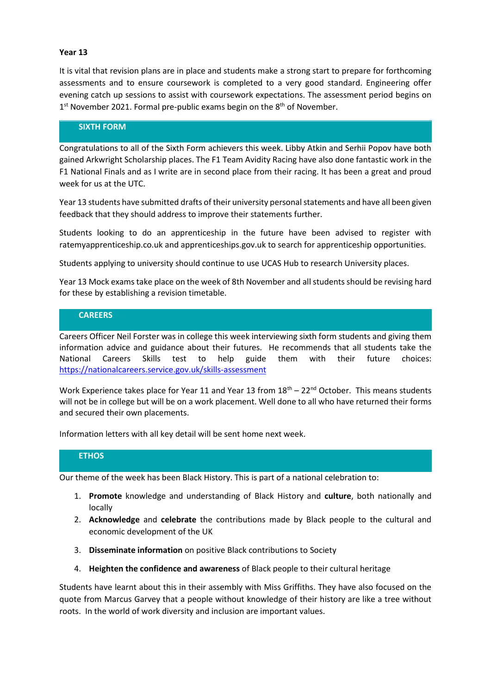## **Year 13**

It is vital that revision plans are in place and students make a strong start to prepare for forthcoming assessments and to ensure coursework is completed to a very good standard. Engineering offer evening catch up sessions to assist with coursework expectations. The assessment period begins on 1<sup>st</sup> November 2021. Formal pre-public exams begin on the 8<sup>th</sup> of November.

## **SIXTH FORM**

Congratulations to all of the Sixth Form achievers this week. Libby Atkin and Serhii Popov have both gained Arkwright Scholarship places. The F1 Team Avidity Racing have also done fantastic work in the F1 National Finals and as I write are in second place from their racing. It has been a great and proud week for us at the UTC.

Year 13 students have submitted drafts of their university personal statements and have all been given feedback that they should address to improve their statements further.

Students looking to do an apprenticeship in the future have been advised to register with ratemyapprenticeship.co.uk and apprenticeships.gov.uk to search for apprenticeship opportunities.

Students applying to university should continue to use UCAS Hub to research University places.

Year 13 Mock exams take place on the week of 8th November and all students should be revising hard for these by establishing a revision timetable.

## **CAREERS**

Careers Officer Neil Forster was in college this week interviewing sixth form students and giving them information advice and guidance about their futures. He recommends that all students take the National Careers Skills test to help guide them with their future choices: <https://nationalcareers.service.gov.uk/skills-assessment>

Work Experience takes place for Year 11 and Year 13 from  $18<sup>th</sup> - 22<sup>nd</sup>$  October. This means students will not be in college but will be on a work placement. Well done to all who have returned their forms and secured their own placements.

Information letters with all key detail will be sent home next week.

#### **ETHOS**

Our theme of the week has been Black History. This is part of a national celebration to:

- 1. **Promote** knowledge and understanding of Black History and **culture**, both nationally and locally
- 2. **Acknowledge** and **celebrate** the contributions made by Black people to the cultural and economic development of the UK
- 3. **Disseminate information** on positive Black contributions to Society
- 4. **Heighten the confidence and awareness** of Black people to their cultural heritage

Students have learnt about this in their assembly with Miss Griffiths. They have also focused on the quote from Marcus Garvey that a people without knowledge of their history are like a tree without roots. In the world of work diversity and inclusion are important values.